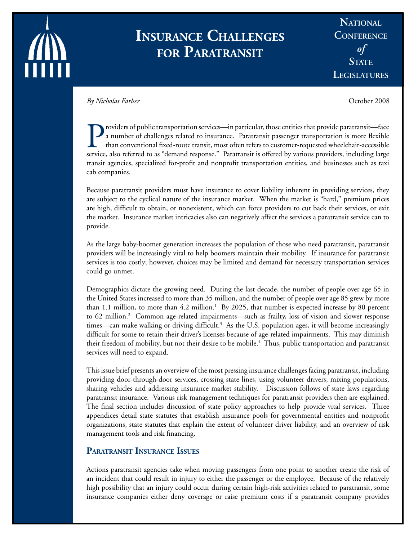

# **Insurance Challenges FOR PARATRANSIT**

**National Conference** *of* **STATE Legislatures**

*By Nicholas Farber* October 2008

Providers of public transportation services—in particular, those entities that provide paratransit—face<br>a number of challenges related to insurance. Paratransit passenger transportation is more flexible<br>than conventional f a number of challenges related to insurance. Paratransit passenger transportation is more flexible than conventional fixed-route transit, most often refers to customer-requested wheelchair-accessible service, also referred to as "demand response." Paratransit is offered by various providers, including large transit agencies, specialized for-profit and nonprofit transportation entities, and businesses such as taxi cab companies.

Because paratransit providers must have insurance to cover liability inherent in providing services, they are subject to the cyclical nature of the insurance market. When the market is "hard," premium prices are high, difficult to obtain, or nonexistent, which can force providers to cut back their services, or exit the market. Insurance market intricacies also can negatively affect the services a paratransit service can to provide.

As the large baby-boomer generation increases the population of those who need paratransit, paratransit providers will be increasingly vital to help boomers maintain their mobility. If insurance for paratransit services is too costly; however, choices may be limited and demand for necessary transportation services could go unmet.

Demographics dictate the growing need. During the last decade, the number of people over age 65 in the United States increased to more than 35 million, and the number of people over age 85 grew by more than 1.1 million, to more than 4.2 million.<sup>1</sup> By 2025, that number is expected increase by 80 percent to 62 million.<sup>2</sup> Common age-related impairments—such as frailty, loss of vision and slower response times—can make walking or driving difficult.<sup>3</sup> As the U.S. population ages, it will become increasingly difficult for some to retain their driver's licenses because of age-related impairments. This may diminish their freedom of mobility, but not their desire to be mobile.<sup>4</sup> Thus, public transportation and paratransit services will need to expand.

This issue brief presents an overview of the most pressing insurance challenges facing paratransit, including providing door-through-door services, crossing state lines, using volunteer drivers, mixing populations, sharing vehicles and addressing insurance market stability. Discussion follows of state laws regarding paratransit insurance. Various risk management techniques for paratransit providers then are explained. The final section includes discussion of state policy approaches to help provide vital services. Three appendices detail state statutes that establish insurance pools for governmental entities and nonprofit organizations, state statutes that explain the extent of volunteer driver liability, and an overview of risk management tools and risk financing.

### **Paratransit Insurance Issues**

Actions paratransit agencies take when moving passengers from one point to another create the risk of an incident that could result in injury to either the passenger or the employee. Because of the relatively high possibility that an injury could occur during certain high-risk activities related to paratransit, some insurance companies either deny coverage or raise premium costs if a paratransit company provides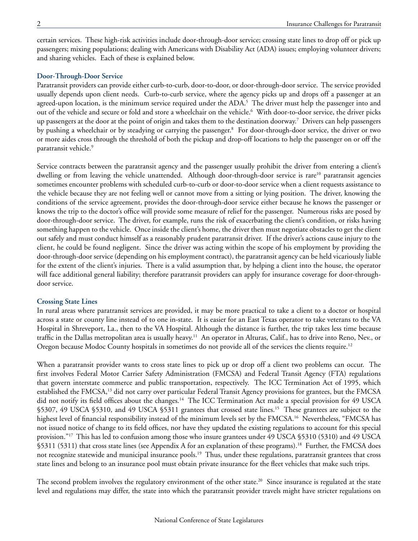certain services. These high-risk activities include door-through-door service; crossing state lines to drop off or pick up passengers; mixing populations; dealing with Americans with Disability Act (ADA) issues; employing volunteer drivers; and sharing vehicles. Each of these is explained below.

#### **Door-Through-Door Service**

Paratransit providers can provide either curb-to-curb, door-to-door, or door-through-door service. The service provided usually depends upon client needs. Curb-to-curb service, where the agency picks up and drops off a passenger at an agreed-upon location, is the minimum service required under the ADA.<sup>5</sup> The driver must help the passenger into and out of the vehicle and secure or fold and store a wheelchair on the vehicle.6 With door-to-door service, the driver picks up passengers at the door at the point of origin and takes them to the destination doorway.<sup>7</sup> Drivers can help passengers by pushing a wheelchair or by steadying or carrying the passenger.<sup>8</sup> For door-through-door service, the driver or two or more aides cross through the threshold of both the pickup and drop-off locations to help the passenger on or off the paratransit vehicle.<sup>9</sup>

Service contracts between the paratransit agency and the passenger usually prohibit the driver from entering a client's dwelling or from leaving the vehicle unattended. Although door-through-door service is rare<sup>10</sup> paratransit agencies sometimes encounter problems with scheduled curb-to-curb or door-to-door service when a client requests assistance to the vehicle because they are not feeling well or cannot move from a sitting or lying position. The driver, knowing the conditions of the service agreement, provides the door-through-door service either because he knows the passenger or knows the trip to the doctor's office will provide some measure of relief for the passenger. Numerous risks are posed by door-through-door service. The driver, for example, runs the risk of exacerbating the client's condition, or risks having something happen to the vehicle. Once inside the client's home, the driver then must negotiate obstacles to get the client out safely and must conduct himself as a reasonably prudent paratransit driver. If the driver's actions cause injury to the client, he could be found negligent. Since the driver was acting within the scope of his employment by providing the door-through-door service (depending on his employment contract), the paratransit agency can be held vicariously liable for the extent of the client's injuries. There is a valid assumption that, by helping a client into the house, the operator will face additional general liability; therefore paratransit providers can apply for insurance coverage for door-throughdoor service.

#### **Crossing State Lines**

In rural areas where paratransit services are provided, it may be more practical to take a client to a doctor or hospital across a state or county line instead of to one in-state. It is easier for an East Texas operator to take veterans to the VA Hospital in Shreveport, La., then to the VA Hospital. Although the distance is further, the trip takes less time because traffic in the Dallas metropolitan area is usually heavy.<sup>11</sup> An operator in Alturas, Calif., has to drive into Reno, Nev., or Oregon because Modoc County hospitals in sometimes do not provide all of the services the clients require.<sup>12</sup>

When a paratransit provider wants to cross state lines to pick up or drop off a client two problems can occur. The first involves Federal Motor Carrier Safety Administration (FMCSA) and Federal Transit Agency (FTA) regulations that govern interstate commerce and public transportation, respectively. The ICC Termination Act of 1995, which established the FMCSA,13 did not carry over particular Federal Transit Agency provisions for grantees, but the FMCSA did not notify its field offices about the changes.<sup>14</sup> The ICC Termination Act made a special provision for 49 USCA §5307, 49 USCA §5310, and 49 USCA §5311 grantees that crossed state lines.<sup>15</sup> These grantees are subject to the highest level of financial responsibility instead of the minimum levels set by the FMCSA.<sup>16</sup> Nevertheless, "FMCSA has not issued notice of change to its field offices, nor have they updated the existing regulations to account for this special provision."17 This has led to confusion among those who insure grantees under 49 USCA §5310 (5310) and 49 USCA §5311 (5311) that cross state lines (see Appendix A for an explanation of these programs).<sup>18</sup> Further, the FMCSA does not recognize statewide and municipal insurance pools.<sup>19</sup> Thus, under these regulations, paratransit grantees that cross state lines and belong to an insurance pool must obtain private insurance for the fleet vehicles that make such trips.

The second problem involves the regulatory environment of the other state.<sup>20</sup> Since insurance is regulated at the state level and regulations may differ, the state into which the paratransit provider travels might have stricter regulations on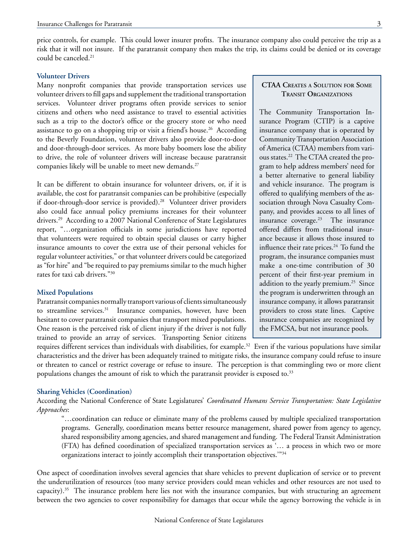price controls, for example. This could lower insurer profits. The insurance company also could perceive the trip as a risk that it will not insure. If the paratransit company then makes the trip, its claims could be denied or its coverage could be canceled.<sup>21</sup>

#### **Volunteer Drivers**

Many nonprofit companies that provide transportation services use volunteer drivers to fill gaps and supplement the traditional transportation services. Volunteer driver programs often provide services to senior citizens and others who need assistance to travel to essential activities such as a trip to the doctor's office or the grocery store or who need assistance to go on a shopping trip or visit a friend's house.<sup>26</sup> According to the Beverly Foundation, volunteer drivers also provide door-to-door and door-through-door services. As more baby boomers lose the ability to drive, the role of volunteer drivers will increase because paratransit companies likely will be unable to meet new demands.<sup>27</sup>

It can be different to obtain insurance for volunteer drivers, or, if it is available, the cost for paratransit companies can be prohibitive (especially if door-through-door service is provided).<sup>28</sup> Volunteer driver providers also could face annual policy premiums increases for their volunteer drivers.<sup>29</sup> According to a 2007 National Conference of State Legislatures report, "…organization officials in some jurisdictions have reported that volunteers were required to obtain special clauses or carry higher insurance amounts to cover the extra use of their personal vehicles for regular volunteer activities," or that volunteer drivers could be categorized as "for hire" and "be required to pay premiums similar to the much higher rates for taxi cab drivers."30

#### **Mixed Populations**

Paratransit companies normally transport various of clients simultaneously to streamline services.<sup>31</sup> Insurance companies, however, have been hesitant to cover paratransit companies that transport mixed populations. One reason is the perceived risk of client injury if the driver is not fully trained to provide an array of services. Transporting Senior citizens

#### **CTAA Creates a Solution for Some Transit Organizations**

The Community Transportation Insurance Program (CTIP) is a captive insurance company that is operated by Community Transportation Association of America (CTAA) members from various states.22 The CTAA created the program to help address members' need for a better alternative to general liability and vehicle insurance. The program is offered to qualifying members of the association through Nova Casualty Company, and provides access to all lines of insurance coverage.23 The insurance offered differs from traditional insurance because it allows those insured to influence their rate prices.<sup>24</sup> To fund the program, the insurance companies must make a one-time contribution of 30 percent of their first-year premium in addition to the yearly premium.<sup>25</sup> Since the program is underwritten through an insurance company, it allows paratransit providers to cross state lines. Captive insurance companies are recognized by the FMCSA, but not insurance pools.

requires different services than individuals with disabilities, for example.32 Even if the various populations have similar characteristics and the driver has been adequately trained to mitigate risks, the insurance company could refuse to insure or threaten to cancel or restrict coverage or refuse to insure. The perception is that commingling two or more client populations changes the amount of risk to which the paratransit provider is exposed to.33

#### **Sharing Vehicles (Coordination)**

According the National Conference of State Legislatures' *Coordinated Humans Service Transportation: State Legislative Approaches*:

"…coordination can reduce or eliminate many of the problems caused by multiple specialized transportation programs. Generally, coordination means better resource management, shared power from agency to agency, shared responsibility among agencies, and shared management and funding. The Federal Transit Administration (FTA) has defined coordination of specialized transportation services as '… a process in which two or more organizations interact to jointly accomplish their transportation objectives.'"34

One aspect of coordination involves several agencies that share vehicles to prevent duplication of service or to prevent the underutilization of resources (too many service providers could mean vehicles and other resources are not used to capacity).35 The insurance problem here lies not with the insurance companies, but with structuring an agreement between the two agencies to cover responsibility for damages that occur while the agency borrowing the vehicle is in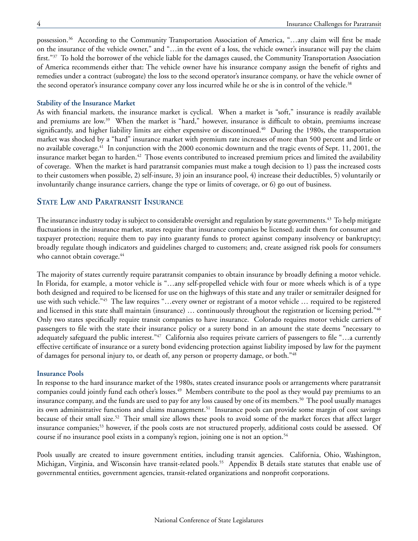possession.36 According to the Community Transportation Association of America, "…any claim will first be made on the insurance of the vehicle owner," and "…in the event of a loss, the vehicle owner's insurance will pay the claim first."<sup>37</sup> To hold the borrower of the vehicle liable for the damages caused, the Community Transportation Association of America recommends either that: The vehicle owner have his insurance company assign the benefit of rights and remedies under a contract (subrogate) the loss to the second operator's insurance company, or have the vehicle owner of the second operator's insurance company cover any loss incurred while he or she is in control of the vehicle.<sup>38</sup>

#### **Stability of the Insurance Market**

As with financial markets, the insurance market is cyclical. When a market is "soft," insurance is readily available and premiums are low.39 When the market is "hard," however, insurance is difficult to obtain, premiums increase significantly, and higher liability limits are either expensive or discontinued.<sup>40</sup> During the 1980s, the transportation market was shocked by a "hard" insurance market with premium rate increases of more than 500 percent and little or no available coverage.41 In conjunction with the 2000 economic downturn and the tragic events of Sept. 11, 2001, the insurance market began to harden.<sup>42</sup> Those events contributed to increased premium prices and limited the availability of coverage. When the market is hard paratransit companies must make a tough decision to 1) pass the increased costs to their customers when possible, 2) self-insure, 3) join an insurance pool, 4) increase their deductibles, 5) voluntarily or involuntarily change insurance carriers, change the type or limits of coverage, or 6) go out of business.

### **State Law and Paratransit Insurance**

The insurance industry today is subject to considerable oversight and regulation by state governments.<sup>43</sup> To help mitigate fluctuations in the insurance market, states require that insurance companies be licensed; audit them for consumer and taxpayer protection; require them to pay into guaranty funds to protect against company insolvency or bankruptcy; broadly regulate though indicators and guidelines charged to customers; and, create assigned risk pools for consumers who cannot obtain coverage.<sup>44</sup>

The majority of states currently require paratransit companies to obtain insurance by broadly defining a motor vehicle. In Florida, for example, a motor vehicle is "…any self-propelled vehicle with four or more wheels which is of a type both designed and required to be licensed for use on the highways of this state and any trailer or semitrailer designed for use with such vehicle."45 The law requires "…every owner or registrant of a motor vehicle … required to be registered and licensed in this state shall maintain (insurance) … continuously throughout the registration or licensing period."46 Only two states specifically require transit companies to have insurance. Colorado requires motor vehicle carriers of passengers to file with the state their insurance policy or a surety bond in an amount the state deems "necessary to adequately safeguard the public interest."47 California also requires private carriers of passengers to file "...a currently effective certificate of insurance or a surety bond evidencing protection against liability imposed by law for the payment of damages for personal injury to, or death of, any person or property damage, or both."48

#### **Insurance Pools**

In response to the hard insurance market of the 1980s, states created insurance pools or arrangements where paratransit companies could jointly fund each other's losses.<sup>49</sup> Members contribute to the pool as they would pay premiums to an insurance company, and the funds are used to pay for any loss caused by one of its members.<sup>50</sup> The pool usually manages its own administrative functions and claims management.<sup>51</sup> Insurance pools can provide some margin of cost savings because of their small size.<sup>52</sup> Their small size allows these pools to avoid some of the market forces that affect larger insurance companies;53 however, if the pools costs are not structured properly, additional costs could be assessed. Of course if no insurance pool exists in a company's region, joining one is not an option.<sup>54</sup>

Pools usually are created to insure government entities, including transit agencies. California, Ohio, Washington, Michigan, Virginia, and Wisconsin have transit-related pools.<sup>55</sup> Appendix B details state statutes that enable use of governmental entities, government agencies, transit-related organizations and nonprofit corporations.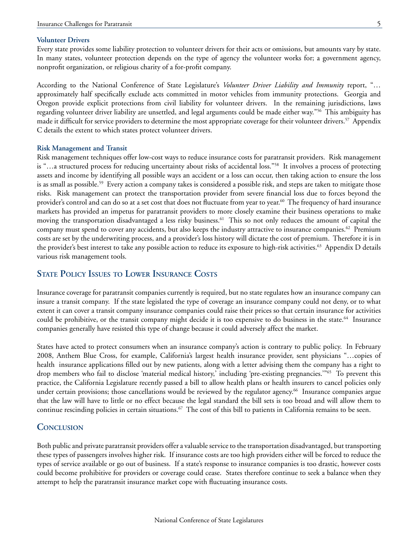#### **Volunteer Drivers**

Every state provides some liability protection to volunteer drivers for their acts or omissions, but amounts vary by state. In many states, volunteer protection depends on the type of agency the volunteer works for; a government agency, nonprofit organization, or religious charity of a for-profit company.

According to the National Conference of State Legislature's *Volunteer Driver Liability and Immunity* report, "… approximately half specifically exclude acts committed in motor vehicles from immunity protections. Georgia and Oregon provide explicit protections from civil liability for volunteer drivers. In the remaining jurisdictions, laws regarding volunteer driver liability are unsettled, and legal arguments could be made either way."56 This ambiguity has made it difficult for service providers to determine the most appropriate coverage for their volunteer drivers.<sup>57</sup> Appendix C details the extent to which states protect volunteer drivers.

#### **Risk Management and Transit**

Risk management techniques offer low-cost ways to reduce insurance costs for paratransit providers. Risk management is "…a structured process for reducing uncertainty about risks of accidental loss."58 It involves a process of protecting assets and income by identifying all possible ways an accident or a loss can occur, then taking action to ensure the loss is as small as possible.<sup>59</sup> Every action a company takes is considered a possible risk, and steps are taken to mitigate those risks. Risk management can protect the transportation provider from severe financial loss due to forces beyond the provider's control and can do so at a set cost that does not fluctuate from year to year.<sup>60</sup> The frequency of hard insurance markets has provided an impetus for paratransit providers to more closely examine their business operations to make moving the transportation disadvantaged a less risky business.<sup>61</sup> This so not only reduces the amount of capital the company must spend to cover any accidents, but also keeps the industry attractive to insurance companies.<sup>62</sup> Premium costs are set by the underwriting process, and a provider's loss history will dictate the cost of premium. Therefore it is in the provider's best interest to take any possible action to reduce its exposure to high-risk activities.<sup>63</sup> Appendix D details various risk management tools.

### **State Policy Issues to Lower Insurance Costs**

Insurance coverage for paratransit companies currently is required, but no state regulates how an insurance company can insure a transit company. If the state legislated the type of coverage an insurance company could not deny, or to what extent it can cover a transit company insurance companies could raise their prices so that certain insurance for activities could be prohibitive, or the transit company might decide it is too expensive to do business in the state.<sup>64</sup> Insurance companies generally have resisted this type of change because it could adversely affect the market.

States have acted to protect consumers when an insurance company's action is contrary to public policy. In February 2008, Anthem Blue Cross, for example, California's largest health insurance provider, sent physicians "…copies of health insurance applications filled out by new patients, along with a letter advising them the company has a right to drop members who fail to disclose 'material medical history,' including 'pre-existing pregnancies.'"65 To prevent this practice, the California Legislature recently passed a bill to allow health plans or health insurers to cancel policies only under certain provisions; those cancellations would be reviewed by the regulator agency.<sup>66</sup> Insurance companies argue that the law will have to little or no effect because the legal standard the bill sets is too broad and will allow them to continue rescinding policies in certain situations.<sup>67</sup> The cost of this bill to patients in California remains to be seen.

#### **Conclusion**

Both public and private paratransit providers offer a valuable service to the transportation disadvantaged, but transporting these types of passengers involves higher risk. If insurance costs are too high providers either will be forced to reduce the types of service available or go out of business. If a state's response to insurance companies is too drastic, however costs could become prohibitive for providers or coverage could cease. States therefore continue to seek a balance when they attempt to help the paratransit insurance market cope with fluctuating insurance costs.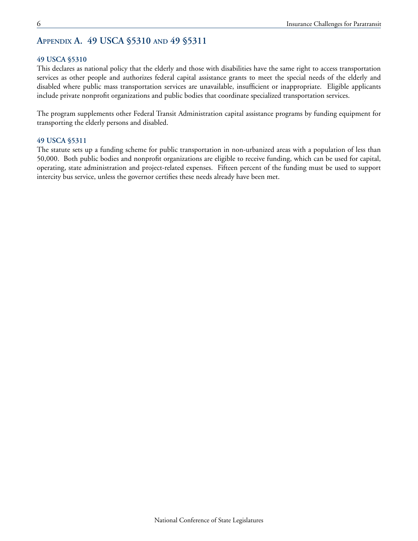## **Appendix A. 49 USCA §5310 and 49 §5311**

#### **49 USCA §5310**

This declares as national policy that the elderly and those with disabilities have the same right to access transportation services as other people and authorizes federal capital assistance grants to meet the special needs of the elderly and disabled where public mass transportation services are unavailable, insufficient or inappropriate. Eligible applicants include private nonprofit organizations and public bodies that coordinate specialized transportation services.

The program supplements other Federal Transit Administration capital assistance programs by funding equipment for transporting the elderly persons and disabled.

#### **49 USCA §5311**

The statute sets up a funding scheme for public transportation in non-urbanized areas with a population of less than 50,000. Both public bodies and nonprofit organizations are eligible to receive funding, which can be used for capital, operating, state administration and project-related expenses. Fifteen percent of the funding must be used to support intercity bus service, unless the governor certifies these needs already have been met.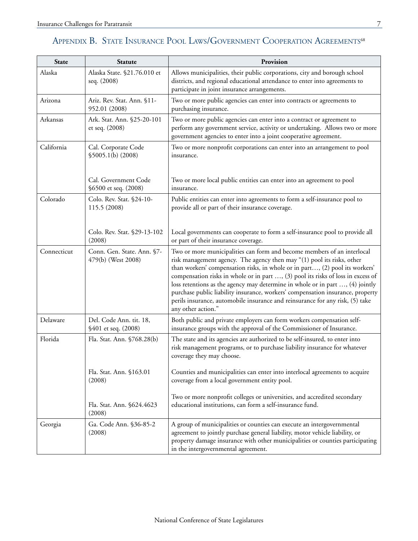## APPENDIX B. STATE INSURANCE POOL LAWS/GOVERNMENT COOPERATION AGREEMENTS<sup>68</sup>

| <b>State</b> | <b>Statute</b>                                   | Provision                                                                                                                                                                                                                                                                                                                                                                                                                                                                                                                                                                                       |
|--------------|--------------------------------------------------|-------------------------------------------------------------------------------------------------------------------------------------------------------------------------------------------------------------------------------------------------------------------------------------------------------------------------------------------------------------------------------------------------------------------------------------------------------------------------------------------------------------------------------------------------------------------------------------------------|
| Alaska       | Alaska State. §21.76.010 et<br>seq. (2008)       | Allows municipalities, their public corporations, city and borough school<br>districts, and regional educational attendance to enter into agreements to<br>participate in joint insurance arrangements.                                                                                                                                                                                                                                                                                                                                                                                         |
| Arizona      | Ariz. Rev. Stat. Ann. §11-<br>952.01 (2008)      | Two or more public agencies can enter into contracts or agreements to<br>purchasing insurance.                                                                                                                                                                                                                                                                                                                                                                                                                                                                                                  |
| Arkansas     | Ark. Stat. Ann. §25-20-101<br>et seq. (2008)     | Two or more public agencies can enter into a contract or agreement to<br>perform any government service, activity or undertaking. Allows two or more<br>government agencies to enter into a joint cooperative agreement.                                                                                                                                                                                                                                                                                                                                                                        |
| California   | Cal. Corporate Code<br>\$5005.1(b) (2008)        | Two or more nonprofit corporations can enter into an arrangement to pool<br>insurance.                                                                                                                                                                                                                                                                                                                                                                                                                                                                                                          |
|              | Cal. Government Code<br>§6500 et seq. (2008)     | Two or more local public entities can enter into an agreement to pool<br>insurance.                                                                                                                                                                                                                                                                                                                                                                                                                                                                                                             |
| Colorado     | Colo. Rev. Stat. §24-10-<br>115.5 (2008)         | Public entities can enter into agreements to form a self-insurance pool to<br>provide all or part of their insurance coverage.                                                                                                                                                                                                                                                                                                                                                                                                                                                                  |
|              | Colo. Rev. Stat. §29-13-102<br>(2008)            | Local governments can cooperate to form a self-insurance pool to provide all<br>or part of their insurance coverage.                                                                                                                                                                                                                                                                                                                                                                                                                                                                            |
| Connecticut  | Conn. Gen. State. Ann. §7-<br>479(b) (West 2008) | Two or more municipalities can form and become members of an interlocal<br>risk management agency. The agency then may "(1) pool its risks, other<br>than workers' compensation risks, in whole or in part, (2) pool its workers'<br>compensation risks in whole or in part , (3) pool its risks of loss in excess of<br>loss retentions as the agency may determine in whole or in part , (4) jointly<br>purchase public liability insurance, workers' compensation insurance, property<br>perils insurance, automobile insurance and reinsurance for any risk, (5) take<br>any other action." |
| Delaware     | Del. Code Ann. tit. 18,<br>§401 et seq. (2008)   | Both public and private employers can form workers compensation self-<br>insurance groups with the approval of the Commissioner of Insurance.                                                                                                                                                                                                                                                                                                                                                                                                                                                   |
| Florida      | Fla. Stat. Ann. §768.28(b)                       | The state and its agencies are authorized to be self-insured, to enter into<br>risk management programs, or to purchase liability insurance for whatever<br>coverage they may choose.                                                                                                                                                                                                                                                                                                                                                                                                           |
|              | Fla. Stat. Ann. §163.01<br>(2008)                | Counties and municipalities can enter into interlocal agreements to acquire<br>coverage from a local government entity pool.                                                                                                                                                                                                                                                                                                                                                                                                                                                                    |
|              | Fla. Stat. Ann. §624.4623<br>(2008)              | Two or more nonprofit colleges or universities, and accredited secondary<br>educational institutions, can form a self-insurance fund.                                                                                                                                                                                                                                                                                                                                                                                                                                                           |
| Georgia      | Ga. Code Ann. §36-85-2<br>(2008)                 | A group of municipalities or counties can execute an intergovernmental<br>agreement to jointly purchase general liability, motor vehicle liability, or<br>property damage insurance with other municipalities or counties participating<br>in the intergovernmental agreement.                                                                                                                                                                                                                                                                                                                  |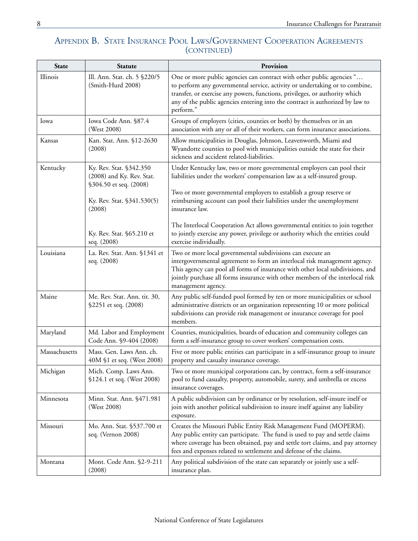### Appendix B. State Insurance Pool Laws/Government Cooperation Agreement (continued)

| <b>State</b>  | <b>Statute</b>                                                                                               | Provision                                                                                                                                                                                                                                                                                                                         |
|---------------|--------------------------------------------------------------------------------------------------------------|-----------------------------------------------------------------------------------------------------------------------------------------------------------------------------------------------------------------------------------------------------------------------------------------------------------------------------------|
| Illinois      | Ill. Ann. Stat. ch. 5 §220/5<br>(Smith-Hurd 2008)                                                            | One or more public agencies can contract with other public agencies "<br>to perform any governmental service, activity or undertaking or to combine,<br>transfer, or exercise any powers, functions, privileges, or authority which<br>any of the public agencies entering into the contract is authorized by law to<br>perform." |
| Iowa          | Iowa Code Ann. §87.4<br>(West 2008)                                                                          | Groups of employers (cities, counties or both) by themselves or in an<br>association with any or all of their workers, can form insurance associations.                                                                                                                                                                           |
| Kansas        | Kan. Stat. Ann. §12-2630<br>(2008)                                                                           | Allow municipalities in Douglas, Johnson, Leavenworth, Miami and<br>Wyandotte counties to pool with municipalities outside the state for their<br>sickness and accident related-liabilities.                                                                                                                                      |
| Kentucky      | Ky. Rev. Stat. §342.350<br>(2008) and Ky. Rev. Stat.<br>§304.50 et seq. (2008)<br>Ky. Rev. Stat. §341.530(5) | Under Kentucky law, two or more governmental employers can pool their<br>liabilities under the workers' compensation law as a self-insured group.<br>Two or more governmental employers to establish a group reserve or<br>reimbursing account can pool their liabilities under the unemployment                                  |
|               | (2008)<br>Ky. Rev. Stat. §65.210 et<br>seq. (2008)                                                           | insurance law.<br>The Interlocal Cooperation Act allows governmental entities to join together<br>to jointly exercise any power, privilege or authority which the entities could<br>exercise individually.                                                                                                                        |
| Louisiana     | La. Rev. Stat. Ann. §1341 et<br>seq. (2008)                                                                  | Two or more local governmental subdivisions can execute an<br>intergovernmental agreement to form an interlocal risk management agency.<br>This agency can pool all forms of insurance with other local subdivisions, and<br>jointly purchase all forms insurance with other members of the interlocal risk<br>management agency. |
| Maine         | Me. Rev. Stat. Ann. tit. 30,<br>§2251 et seq. (2008)                                                         | Any public self-funded pool formed by ten or more municipalities or school<br>administrative districts or an organization representing 10 or more political<br>subdivisions can provide risk management or insurance coverage for pool<br>members.                                                                                |
| Maryland      | Md. Labor and Employment<br>Code Ann. §9-404 (2008)                                                          | Counties, municipalities, boards of education and community colleges can<br>form a self-insurance group to cover workers' compensation costs.                                                                                                                                                                                     |
| Massachusetts | Mass. Gen. Laws Ann. ch.<br>40M §1 et seq. (West 2008)                                                       | Five or more public entities can participate in a self-insurance group to insure<br>property and casualty insurance coverage.                                                                                                                                                                                                     |
| Michigan      | Mich. Comp. Laws Ann.<br>§124.1 et seq. (West 2008)                                                          | Two or more municipal corporations can, by contract, form a self-insurance<br>pool to fund casualty, property, automobile, surety, and umbrella or excess<br>insurance coverages.                                                                                                                                                 |
| Minnesota     | Minn. Stat. Ann. §471.981<br>(West 2008)                                                                     | A public subdivision can by ordinance or by resolution, self-insure itself or<br>join with another political subdivision to insure itself against any liability<br>exposure.                                                                                                                                                      |
| Missouri      | Mo. Ann. Stat. §537.700 et<br>seq. (Vernon 2008)                                                             | Creates the Missouri Public Entity Risk Management Fund (MOPERM).<br>Any public entity can participate. The fund is used to pay and settle claims<br>where coverage has been obtained, pay and settle tort claims, and pay attorney<br>fees and expenses related to settlement and defense of the claims.                         |
| Montana       | Mont. Code Ann. §2-9-211<br>(2008)                                                                           | Any political subdivision of the state can separately or jointly use a self-<br>insurance plan.                                                                                                                                                                                                                                   |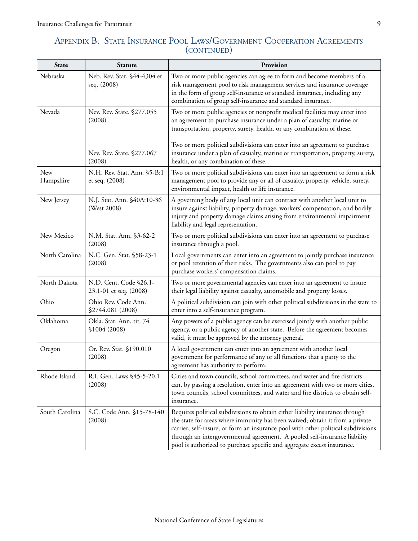| <b>State</b>     | <b>Statute</b>                                   | Provision                                                                                                                                                                                                                                                                                                                                                                                                 |
|------------------|--------------------------------------------------|-----------------------------------------------------------------------------------------------------------------------------------------------------------------------------------------------------------------------------------------------------------------------------------------------------------------------------------------------------------------------------------------------------------|
| Nebraska         | Neb. Rev. Stat. §44-4304 et<br>seq. (2008)       | Two or more public agencies can agree to form and become members of a<br>risk management pool to risk management services and insurance coverage<br>in the form of group self-insurance or standard insurance, including any<br>combination of group self-insurance and standard insurance.                                                                                                               |
| Nevada           | Nev. Rev. State. §277.055<br>(2008)              | Two or more public agencies or nonprofit medical facilities may enter into<br>an agreement to purchase insurance under a plan of casualty, marine or<br>transportation, property, surety, health, or any combination of these.                                                                                                                                                                            |
|                  | Nev. Rev. State. §277.067<br>(2008)              | Two or more political subdivisions can enter into an agreement to purchase<br>insurance under a plan of casualty, marine or transportation, property, surety,<br>health, or any combination of these.                                                                                                                                                                                                     |
| New<br>Hampshire | N.H. Rev. Stat. Ann. §5-B:1<br>et seq. (2008)    | Two or more political subdivisions can enter into an agreement to form a risk<br>management pool to provide any or all of casualty, property, vehicle, surety,<br>environmental impact, health or life insurance.                                                                                                                                                                                         |
| New Jersey       | N.J. Stat. Ann. §40A:10-36<br>(West 2008)        | A governing body of any local unit can contract with another local unit to<br>insure against liability, property damage, workers' compensation, and bodily<br>injury and property damage claims arising from environmental impairment<br>liability and legal representation.                                                                                                                              |
| New Mexico       | N.M. Stat. Ann. §3-62-2<br>(2008)                | Two or more political subdivisions can enter into an agreement to purchase<br>insurance through a pool.                                                                                                                                                                                                                                                                                                   |
| North Carolina   | N.C. Gen. Stat. §58-23-1<br>(2008)               | Local governments can enter into an agreement to jointly purchase insurance<br>or pool retention of their risks. The governments also can pool to pay<br>purchase workers' compensation claims.                                                                                                                                                                                                           |
| North Dakota     | N.D. Cent. Code §26.1-<br>23.1-01 et seq. (2008) | Two or more governmental agencies can enter into an agreement to insure<br>their legal liability against casualty, automobile and property losses.                                                                                                                                                                                                                                                        |
| Ohio             | Ohio Rev. Code Ann.<br>\$2744.081 (2008)         | A political subdivision can join with other political subdivisions in the state to<br>enter into a self-insurance program.                                                                                                                                                                                                                                                                                |
| Oklahoma         | Okla. Stat. Ann. tit. 74<br>\$1004 (2008)        | Any powers of a public agency can be exercised jointly with another public<br>agency, or a public agency of another state. Before the agreement becomes<br>valid, it must be approved by the attorney general.                                                                                                                                                                                            |
| Oregon           | Or. Rev. Stat. §190.010<br>(2008)                | A local government can enter into an agreement with another local<br>government for performance of any or all functions that a party to the<br>agreement has authority to perform.                                                                                                                                                                                                                        |
| Rhode Island     | R.I. Gen. Laws §45-5-20.1<br>(2008)              | Cities and town councils, school committees, and water and fire districts<br>can, by passing a resolution, enter into an agreement with two or more cities,<br>town councils, school committees, and water and fire districts to obtain self-<br>insurance.                                                                                                                                               |
| South Carolina   | S.C. Code Ann. §15-78-140<br>(2008)              | Requires political subdivisions to obtain either liability insurance through<br>the state for areas where immunity has been waived; obtain it from a private<br>carrier; self-insure; or form an insurance pool with other political subdivisions<br>through an intergovernmental agreement. A pooled self-insurance liability<br>pool is authorized to purchase specific and aggregate excess insurance. |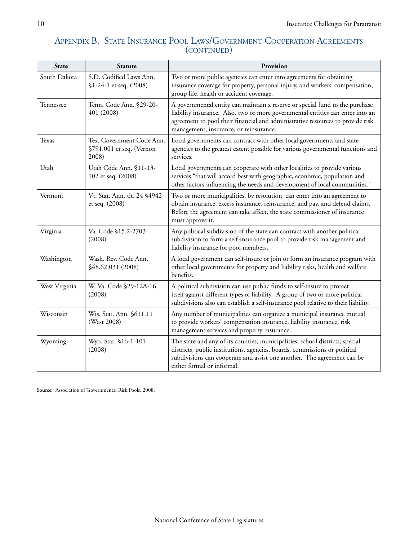### Appendix B. State Insurance Pool Laws/Government Cooperation Agreement (continued)

| <b>State</b>  | <b>Statute</b>                                                 | Provision                                                                                                                                                                                                                                                                                  |
|---------------|----------------------------------------------------------------|--------------------------------------------------------------------------------------------------------------------------------------------------------------------------------------------------------------------------------------------------------------------------------------------|
| South Dakota  | S.D. Codified Laws Ann.<br>§1-24-1 et seq. (2008)              | Two or more public agencies can enter into agreements for obtaining<br>insurance coverage for property, personal injury, and workers' compensation,<br>group life, health or accident coverage.                                                                                            |
| Tennessee     | Tenn. Code Ann. §29-20-<br>401 (2008)                          | A governmental entity can maintain a reserve or special fund to the purchase<br>liability insurance. Also, two or more governmental entities can enter into an<br>agreement to pool their financial and administrative resources to provide risk<br>management, insurance, or reinsurance. |
| Texas         | Tex. Government Code Ann.<br>§791.001 et seq. (Vernon<br>2008) | Local governments can contract with other local governments and state<br>agencies to the greatest extent possible for various governmental functions and<br>services.                                                                                                                      |
| Utah          | Utah Code Ann. §11-13-<br>102 et seq. (2008)                   | Local governments can cooperate with other localities to provide various<br>services "that will accord best with geographic, economic, population and<br>other factors influencing the needs and development of local communities."                                                        |
| Vermont       | Vt. Stat. Ann. tit. 24 §4942<br>et seq. (2008)                 | Two or more municipalities, by resolution, can enter into an agreement to<br>obtain insurance, excess insurance, reinsurance, and pay, and defend claims.<br>Before the agreement can take affect, the state commissioner of insurance<br>must approve it.                                 |
| Virginia      | Va. Code §15.2-2703<br>(2008)                                  | Any political subdivision of the state can contract with another political<br>subdivision to form a self-insurance pool to provide risk management and<br>liability insurance for pool members.                                                                                            |
| Washington    | Wash. Rev. Code Ann.<br>\$48.62.031 (2008)                     | A local government can self-insure or join or form an insurance program with<br>other local governments for property and liability risks, health and welfare<br>benefits.                                                                                                                  |
| West Virginia | W. Va. Code §29-12A-16<br>(2008)                               | A political subdivision can use public funds to self-insure to protect<br>itself against different types of liability. A group of two or more political<br>subdivisions also can establish a self-insurance pool relative to their liability.                                              |
| Wisconsin     | Wis. Stat. Ann. §611.11<br>(West 2008)                         | Any number of municipalities can organize a municipal insurance mutual<br>to provide workers' compensation insurance, liability insurance, risk<br>management services and property insurance.                                                                                             |
| Wyoming       | Wyo. Stat. §16-1-101<br>(2008)                                 | The state and any of its counties, municipalities, school districts, special<br>districts, public institutions, agencies, boards, commissions or political<br>subdivisions can cooperate and assist one another. The agreement can be<br>either formal or informal.                        |

**Source:** Association of Governmental Risk Pools, 2008.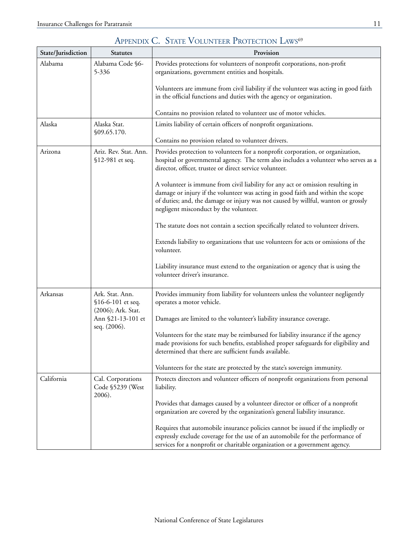| State/Jurisdiction | <b>Statutes</b>                                            | THERDIA C. UTALE VOLUMERATIOILEMENT<br>Provision                                                                                                                                                                                                                                                  |
|--------------------|------------------------------------------------------------|---------------------------------------------------------------------------------------------------------------------------------------------------------------------------------------------------------------------------------------------------------------------------------------------------|
| Alabama            | Alabama Code §6-<br>5-336                                  | Provides protections for volunteers of nonprofit corporations, non-profit<br>organizations, government entities and hospitals.                                                                                                                                                                    |
|                    |                                                            | Volunteers are immune from civil liability if the volunteer was acting in good faith<br>in the official functions and duties with the agency or organization.                                                                                                                                     |
|                    |                                                            | Contains no provision related to volunteer use of motor vehicles.                                                                                                                                                                                                                                 |
| Alaska             | Alaska Stat.<br>\$09.65.170.                               | Limits liability of certain officers of nonprofit organizations.                                                                                                                                                                                                                                  |
|                    |                                                            | Contains no provision related to volunteer drivers.                                                                                                                                                                                                                                               |
| Arizona            | Ariz. Rev. Stat. Ann.<br>§12-981 et seq.                   | Provides protection to volunteers for a nonprofit corporation, or organization,<br>hospital or governmental agency. The term also includes a volunteer who serves as a<br>director, officer, trustee or direct service volunteer.                                                                 |
|                    |                                                            | A volunteer is immune from civil liability for any act or omission resulting in<br>damage or injury if the volunteer was acting in good faith and within the scope<br>of duties; and, the damage or injury was not caused by willful, wanton or grossly<br>negligent misconduct by the volunteer. |
|                    |                                                            | The statute does not contain a section specifically related to volunteer drivers.                                                                                                                                                                                                                 |
|                    |                                                            | Extends liability to organizations that use volunteers for acts or omissions of the<br>volunteer.                                                                                                                                                                                                 |
|                    |                                                            | Liability insurance must extend to the organization or agency that is using the<br>volunteer driver's insurance.                                                                                                                                                                                  |
| Arkansas           | Ark. Stat. Ann.<br>§16-6-101 et seq.<br>(2006); Ark. Stat. | Provides immunity from liability for volunteers unless the volunteer negligently<br>operates a motor vehicle.                                                                                                                                                                                     |
|                    | Ann §21-13-101 et<br>seq. (2006).                          | Damages are limited to the volunteer's liability insurance coverage.                                                                                                                                                                                                                              |
|                    |                                                            | Volunteers for the state may be reimbursed for liability insurance if the agency<br>made provisions for such benefits, established proper safeguards for eligibility and<br>determined that there are sufficient funds available.                                                                 |
|                    |                                                            | Volunteers for the state are protected by the state's sovereign immunity.                                                                                                                                                                                                                         |
| California         | Cal. Corporations<br>Code §5239 (West<br>2006).            | Protects directors and volunteer officers of nonprofit organizations from personal<br>liability.                                                                                                                                                                                                  |
|                    |                                                            | Provides that damages caused by a volunteer director or officer of a nonprofit<br>organization are covered by the organization's general liability insurance.                                                                                                                                     |
|                    |                                                            | Requires that automobile insurance policies cannot be issued if the impliedly or<br>expressly exclude coverage for the use of an automobile for the performance of<br>services for a nonprofit or charitable organization or a government agency.                                                 |

## APPENDIX C. STATE VOLUNTEER PROTECTION LAWS<sup>69</sup>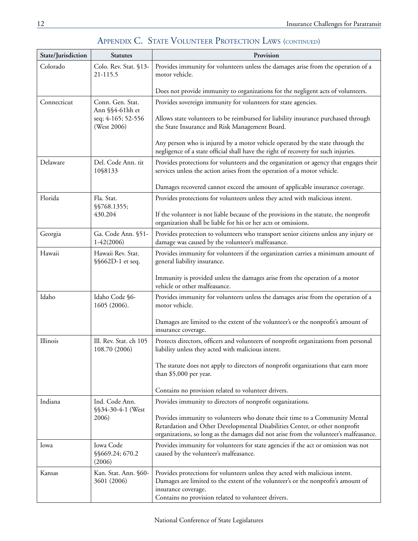| State/Jurisdiction | <b>Statutes</b>                          | Provision                                                                                                                                                                                                                                           |
|--------------------|------------------------------------------|-----------------------------------------------------------------------------------------------------------------------------------------------------------------------------------------------------------------------------------------------------|
| Colorado           | Colo. Rev. Stat. §13-<br>21-115.5        | Provides immunity for volunteers unless the damages arise from the operation of a<br>motor vehicle.                                                                                                                                                 |
|                    |                                          | Does not provide immunity to organizations for the negligent acts of volunteers.                                                                                                                                                                    |
| Connecticut        | Conn. Gen. Stat.<br>Ann §§4-61hh et      | Provides sovereign immunity for volunteers for state agencies.                                                                                                                                                                                      |
|                    | seq; 4-165; 52-556<br>(West 2006)        | Allows state volunteers to be reimbursed for liability insurance purchased through<br>the State Insurance and Risk Management Board.                                                                                                                |
|                    |                                          | Any person who is injured by a motor vehicle operated by the state through the<br>negligence of a state official shall have the right of recovery for such injuries.                                                                                |
| Delaware           | Del. Code Ann. tit<br>10§8133            | Provides protections for volunteers and the organization or agency that engages their<br>services unless the action arises from the operation of a motor vehicle.                                                                                   |
|                    |                                          | Damages recovered cannot exceed the amount of applicable insurance coverage.                                                                                                                                                                        |
| Florida            | Fla. Stat.<br>§§768.1355;                | Provides protections for volunteers unless they acted with malicious intent.                                                                                                                                                                        |
|                    | 430.204                                  | If the volunteer is not liable because of the provisions in the statute, the nonprofit<br>organization shall be liable for his or her acts or omissions.                                                                                            |
| Georgia            | Ga. Code Ann. §51-<br>$1-42(2006)$       | Provides protection to volunteers who transport senior citizens unless any injury or<br>damage was caused by the volunteer's malfeasance.                                                                                                           |
| Hawaii             | Hawaii Rev. Stat.<br>§§662D-1 et seq.    | Provides immunity for volunteers if the organization carries a minimum amount of<br>general liability insurance.                                                                                                                                    |
|                    |                                          | Immunity is provided unless the damages arise from the operation of a motor<br>vehicle or other malfeasance.                                                                                                                                        |
| Idaho              | Idaho Code §6-<br>1605 (2006).           | Provides immunity for volunteers unless the damages arise from the operation of a<br>motor vehicle.                                                                                                                                                 |
|                    |                                          | Damages are limited to the extent of the volunteer's or the nonprofit's amount of<br>insurance coverage.                                                                                                                                            |
| Illinois           | Ill. Rev. Stat. ch 105<br>108.70 (2006)  | Protects directors, officers and volunteers of nonprofit organizations from personal<br>liability unless they acted with malicious intent.                                                                                                          |
|                    |                                          | The statute does not apply to directors of nonprofit organizations that earn more<br>than \$5,000 per year.                                                                                                                                         |
|                    |                                          | Contains no provision related to volunteer drivers.                                                                                                                                                                                                 |
| Indiana            | Ind. Code Ann.                           | Provides immunity to directors of nonprofit organizations.                                                                                                                                                                                          |
|                    | §§34-30-4-1 (West<br>2006)               | Provides immunity to volunteers who donate their time to a Community Mental<br>Retardation and Other Developmental Disabilities Center, or other nonprofit<br>organizations, so long as the damages did not arise from the volunteer's malfeasance. |
| Iowa               | Iowa Code<br>\$\$669.24; 670.2<br>(2006) | Provides immunity for volunteers for state agencies if the act or omission was not<br>caused by the volunteer's malfeasance.                                                                                                                        |
| Kansas             | Kan. Stat. Ann. §60-<br>3601 (2006)      | Provides protections for volunteers unless they acted with malicious intent.<br>Damages are limited to the extent of the volunteer's or the nonprofit's amount of<br>insurance coverage.<br>Contains no provision related to volunteer drivers.     |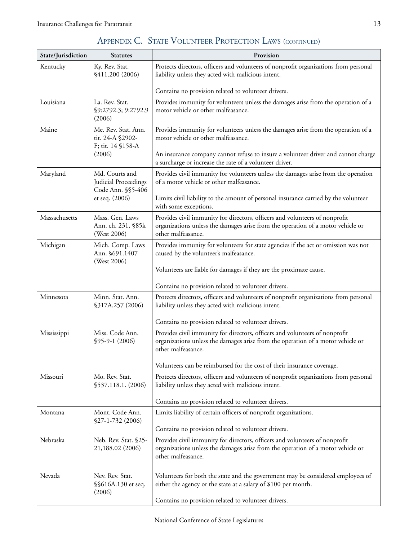| State/Jurisdiction | <b>Statutes</b>                                                        | Provision                                                                                                                                                                                                     |
|--------------------|------------------------------------------------------------------------|---------------------------------------------------------------------------------------------------------------------------------------------------------------------------------------------------------------|
| Kentucky           | Ky. Rev. Stat.<br>\$411.200 (2006)                                     | Protects directors, officers and volunteers of nonprofit organizations from personal<br>liability unless they acted with malicious intent.                                                                    |
|                    |                                                                        | Contains no provision related to volunteer drivers.                                                                                                                                                           |
| Louisiana          | La. Rev. Stat.<br>\$9:2792.3; 9:2792.9<br>(2006)                       | Provides immunity for volunteers unless the damages arise from the operation of a<br>motor vehicle or other malfeasance.                                                                                      |
| Maine              | Me. Rev. Stat. Ann.<br>tit. 24-A §2902-<br>F; tit. 14 §158-A<br>(2006) | Provides immunity for volunteers unless the damages arise from the operation of a<br>motor vehicle or other malfeasance.<br>An insurance company cannot refuse to insure a volunteer driver and cannot charge |
|                    |                                                                        | a surcharge or increase the rate of a volunteer driver.                                                                                                                                                       |
| Maryland           | Md. Courts and<br>Judicial Proceedings<br>Code Ann. §§5-406            | Provides civil immunity for volunteers unless the damages arise from the operation<br>of a motor vehicle or other malfeasance.                                                                                |
|                    | et seq. (2006)                                                         | Limits civil liability to the amount of personal insurance carried by the volunteer<br>with some exceptions.                                                                                                  |
| Massachusetts      | Mass. Gen. Laws<br>Ann. ch. 231, §85k<br>(West 2006)                   | Provides civil immunity for directors, officers and volunteers of nonprofit<br>organizations unless the damages arise from the operation of a motor vehicle or<br>other malfeasance.                          |
| Michigan           | Mich. Comp. Laws<br>Ann. §691.1407<br>(West 2006)                      | Provides immunity for volunteers for state agencies if the act or omission was not<br>caused by the volunteer's malfeasance.                                                                                  |
|                    |                                                                        | Volunteers are liable for damages if they are the proximate cause.                                                                                                                                            |
|                    |                                                                        | Contains no provision related to volunteer drivers.                                                                                                                                                           |
| Minnesota          | Minn. Stat. Ann.<br>§317A.257 (2006)                                   | Protects directors, officers and volunteers of nonprofit organizations from personal<br>liability unless they acted with malicious intent.                                                                    |
|                    |                                                                        | Contains no provision related to volunteer drivers.                                                                                                                                                           |
| Mississippi        | Miss. Code Ann.<br>\$95-9-1 (2006)                                     | Provides civil immunity for directors, officers and volunteers of nonprofit<br>organizations unless the damages arise from the operation of a motor vehicle or<br>other malfeasance.                          |
|                    |                                                                        | Volunteers can be reimbursed for the cost of their insurance coverage.                                                                                                                                        |
| Missouri           | Mo. Rev. Stat.<br>\$537.118.1. (2006)                                  | Protects directors, officers and volunteers of nonprofit organizations from personal<br>liability unless they acted with malicious intent.                                                                    |
|                    |                                                                        | Contains no provision related to volunteer drivers.                                                                                                                                                           |
| Montana            | Mont. Code Ann.<br>$$27-1-732(2006)$                                   | Limits liability of certain officers of nonprofit organizations.                                                                                                                                              |
|                    |                                                                        | Contains no provision related to volunteer drivers.                                                                                                                                                           |
| Nebraska           | Neb. Rev. Stat. §25-<br>21,188.02 (2006)                               | Provides civil immunity for directors, officers and volunteers of nonprofit<br>organizations unless the damages arise from the operation of a motor vehicle or<br>other malfeasance.                          |
| Nevada             | Nev. Rev. Stat.<br>§§616A.130 et seq.<br>(2006)                        | Volunteers for both the state and the government may be considered employees of<br>either the agency or the state at a salary of \$100 per month.                                                             |
|                    |                                                                        | Contains no provision related to volunteer drivers.                                                                                                                                                           |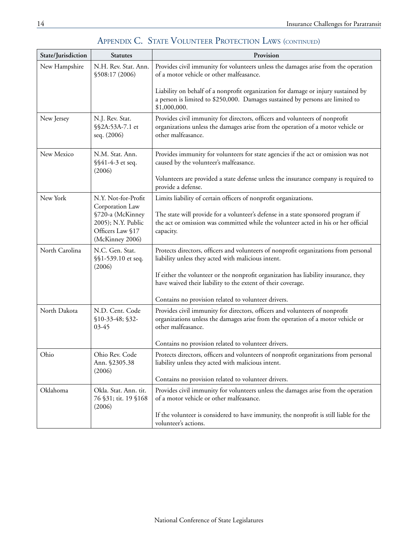| State/Jurisdiction | <b>Statutes</b>                                                                                  | Provision                                                                                                                                                                            |
|--------------------|--------------------------------------------------------------------------------------------------|--------------------------------------------------------------------------------------------------------------------------------------------------------------------------------------|
| New Hampshire      | N.H. Rev. Stat. Ann.<br>\$508:17 (2006)                                                          | Provides civil immunity for volunteers unless the damages arise from the operation<br>of a motor vehicle or other malfeasance.                                                       |
|                    |                                                                                                  | Liability on behalf of a nonprofit organization for damage or injury sustained by<br>a person is limited to \$250,000. Damages sustained by persons are limited to<br>\$1,000,000.   |
| New Jersey         | N.J. Rev. Stat.<br>§ § 2A: 53A-7.1 et<br>seq. (2006)                                             | Provides civil immunity for directors, officers and volunteers of nonprofit<br>organizations unless the damages arise from the operation of a motor vehicle or<br>other malfeasance. |
| New Mexico         | N.M. Stat. Ann.<br>§§41-4-3 et seq.<br>(2006)                                                    | Provides immunity for volunteers for state agencies if the act or omission was not<br>caused by the volunteer's malfeasance.                                                         |
|                    |                                                                                                  | Volunteers are provided a state defense unless the insurance company is required to<br>provide a defense.                                                                            |
| New York           | N.Y. Not-for-Profit                                                                              | Limits liability of certain officers of nonprofit organizations.                                                                                                                     |
|                    | Corporation Law<br>§720-a (McKinney<br>2005); N.Y. Public<br>Officers Law §17<br>(McKinney 2006) | The state will provide for a volunteer's defense in a state sponsored program if<br>the act or omission was committed while the volunteer acted in his or her official<br>capacity.  |
| North Carolina     | N.C. Gen. Stat.<br>§§1-539.10 et seq.                                                            | Protects directors, officers and volunteers of nonprofit organizations from personal<br>liability unless they acted with malicious intent.                                           |
|                    | (2006)                                                                                           | If either the volunteer or the nonprofit organization has liability insurance, they<br>have waived their liability to the extent of their coverage.                                  |
|                    |                                                                                                  | Contains no provision related to volunteer drivers.                                                                                                                                  |
| North Dakota       | N.D. Cent. Code<br>\$10-33-48; \$32-<br>03-45                                                    | Provides civil immunity for directors, officers and volunteers of nonprofit<br>organizations unless the damages arise from the operation of a motor vehicle or<br>other malfeasance. |
|                    |                                                                                                  | Contains no provision related to volunteer drivers.                                                                                                                                  |
| Ohio               | Ohio Rev. Code<br>Ann. §2305.38<br>(2006)                                                        | Protects directors, officers and volunteers of nonprofit organizations from personal<br>liability unless they acted with malicious intent.                                           |
|                    |                                                                                                  | Contains no provision related to volunteer drivers.                                                                                                                                  |
| Oklahoma           | Okla. Stat. Ann. tit.<br>76 §31; tit. 19 §168<br>(2006)                                          | Provides civil immunity for volunteers unless the damages arise from the operation<br>of a motor vehicle or other malfeasance.                                                       |
|                    |                                                                                                  | If the volunteer is considered to have immunity, the nonprofit is still liable for the<br>volunteer's actions.                                                                       |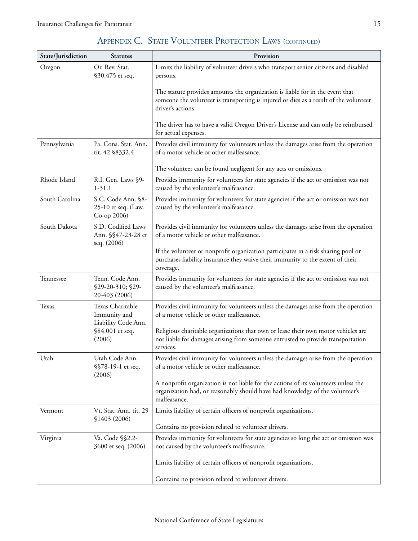| State/Jurisdiction | <b>Statutes</b>                                                                      | Provision                                                                                                                                                                                                                                                                                                             |
|--------------------|--------------------------------------------------------------------------------------|-----------------------------------------------------------------------------------------------------------------------------------------------------------------------------------------------------------------------------------------------------------------------------------------------------------------------|
| Oregon             | Or. Rev. Stat.<br>§30.475 et seq.                                                    | Limits the liability of volunteer drivers who transport senior citizens and disabled<br>persons.                                                                                                                                                                                                                      |
|                    |                                                                                      | The statute provides amounts the organization is liable for in the event that<br>someone the volunteer is transporting is injured or dies as a result of the volunteer<br>driver's actions.                                                                                                                           |
|                    |                                                                                      | The driver has to have a valid Oregon Driver's License and can only be reimbursed<br>for actual expenses.                                                                                                                                                                                                             |
| Pennsylvania       | Pa. Cons. Stat. Ann.<br>tit. 42 §8332.4                                              | Provides civil immunity for volunteers unless the damages arise from the operation<br>of a motor vehicle or other malfeasance.                                                                                                                                                                                        |
|                    |                                                                                      | The volunteer can be found negligent for any acts or omissions.                                                                                                                                                                                                                                                       |
| Rhode Island       | R.I. Gen. Laws §9-<br>$1-31.1$                                                       | Provides immunity for volunteers for state agencies if the act or omission was not<br>caused by the volunteer's malfeasance.                                                                                                                                                                                          |
| South Carolina     | S.C. Code Ann. §8-<br>25-10 et seq. (Law.<br>Co-op 2006)                             | Provides immunity for volunteers for state agencies if the act or omission was not<br>caused by the volunteer's malfeasance.                                                                                                                                                                                          |
| South Dakota       | S.D. Codified Laws<br>Ann. §§47-23-28 et<br>seq. (2006)                              | Provides civil immunity for volunteers unless the damages arise from the operation<br>of a motor vehicle or other malfeasance.<br>If the volunteer or nonprofit organization participates in a risk sharing pool or<br>purchases liability insurance they waive their immunity to the extent of their<br>coverage.    |
| Tennessee          | Tenn. Code Ann.<br>\$29-20-310; \$29-<br>20-403 (2006)                               | Provides immunity for volunteers for state agencies if the act or omission was not<br>caused by the volunteer's malfeasance.                                                                                                                                                                                          |
| <b>Texas</b>       | Texas Charitable<br>Immunity and<br>Liability Code Ann.<br>§84.001 et seq.<br>(2006) | Provides civil immunity for volunteers unless the damages arise from the operation<br>of a motor vehicle or other malfeasance.<br>Religious charitable organizations that own or lease their own motor vehicles are<br>not liable for damages arising from someone entrusted to provide transportation<br>services.   |
| Utah               | Utah Code Ann.<br>§ § 78-19-1 et seq.<br>(2006)                                      | Provides civil immunity for volunteers unless the damages arise from the operation<br>of a motor vehicle or other malfeasance.<br>A nonprofit organization is not liable for the actions of its volunteers unless the<br>organization had, or reasonably should have had knowledge of the volunteer's<br>malfeasance. |
| Vermont            | Vt. Stat. Ann. tit. 29<br>\$1403 (2006)                                              | Limits liability of certain officers of nonprofit organizations.<br>Contains no provision related to volunteer drivers.                                                                                                                                                                                               |
| Virginia           | Va. Code §§2.2-<br>3600 et seq. (2006)                                               | Provides immunity for volunteers for state agencies so long the act or omission was<br>not caused by the volunteer's malfeasance.                                                                                                                                                                                     |
|                    |                                                                                      | Limits liability of certain officers of nonprofit organizations.                                                                                                                                                                                                                                                      |
|                    |                                                                                      | Contains no provision related to volunteer drivers.                                                                                                                                                                                                                                                                   |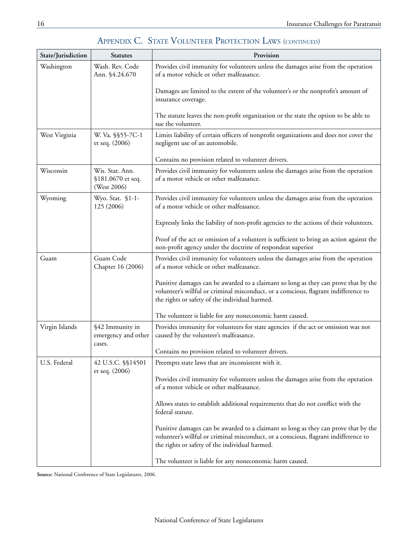| State/Jurisdiction | <b>Statutes</b>                                     | Provision                                                                                                                                                                                                                     |
|--------------------|-----------------------------------------------------|-------------------------------------------------------------------------------------------------------------------------------------------------------------------------------------------------------------------------------|
| Washington         | Wash. Rev. Code<br>Ann. §4.24.670                   | Provides civil immunity for volunteers unless the damages arise from the operation<br>of a motor vehicle or other malfeasance.                                                                                                |
|                    |                                                     | Damages are limited to the extent of the volunteer's or the nonprofit's amount of<br>insurance coverage.                                                                                                                      |
|                    |                                                     | The statute leaves the non-profit organization or the state the option to be able to<br>sue the volunteer.                                                                                                                    |
| West Virginia      | W. Va. §§55-7C-1<br>et seq. (2006)                  | Limits liability of certain officers of nonprofit organizations and does not cover the<br>negligent use of an automobile.                                                                                                     |
|                    |                                                     | Contains no provision related to volunteer drivers.                                                                                                                                                                           |
| Wisconsin          | Wis. Stat. Ann.<br>§181.0670 et seq.<br>(West 2006) | Provides civil immunity for volunteers unless the damages arise from the operation<br>of a motor vehicle or other malfeasance.                                                                                                |
| Wyoming            | Wyo. Stat. §1-1-<br>125 (2006)                      | Provides civil immunity for volunteers unless the damages arise from the operation<br>of a motor vehicle or other malfeasance.                                                                                                |
|                    |                                                     | Expressly links the liability of non-profit agencies to the actions of their volunteers.                                                                                                                                      |
|                    |                                                     | Proof of the act or omission of a volunteer is sufficient to bring an action against the<br>non-profit agency under the doctrine of respondeat superior                                                                       |
| Guam               | Guam Code<br>Chapter 16 (2006)                      | Provides civil immunity for volunteers unless the damages arise from the operation<br>of a motor vehicle or other malfeasance.                                                                                                |
|                    |                                                     | Punitive damages can be awarded to a claimant so long as they can prove that by the<br>volunteer's willful or criminal misconduct, or a conscious, flagrant indifference to<br>the rights or safety of the individual harmed. |
|                    |                                                     | The volunteer is liable for any noneconomic harm caused.                                                                                                                                                                      |
| Virgin Islands     | §42 Immunity in<br>emergency and other<br>cases.    | Provides immunity for volunteers for state agencies if the act or omission was not<br>caused by the volunteer's malfeasance.                                                                                                  |
|                    |                                                     | Contains no provision related to volunteer drivers.                                                                                                                                                                           |
| U.S. Federal       | 42 U.S.C. \$\$14501<br>et seq. (2006)               | Preempts state laws that are inconsistent with it.                                                                                                                                                                            |
|                    |                                                     | Provides civil immunity for volunteers unless the damages arise from the operation<br>of a motor vehicle or other malfeasance.                                                                                                |
|                    |                                                     | Allows states to establish additional requirements that do not conflict with the<br>federal statute.                                                                                                                          |
|                    |                                                     | Punitive damages can be awarded to a claimant so long as they can prove that by the<br>volunteer's willful or criminal misconduct, or a conscious, flagrant indifference to<br>the rights or safety of the individual harmed. |
|                    |                                                     | The volunteer is liable for any noneconomic harm caused.                                                                                                                                                                      |

**Source:** National Conference of State Legislatures, 2006.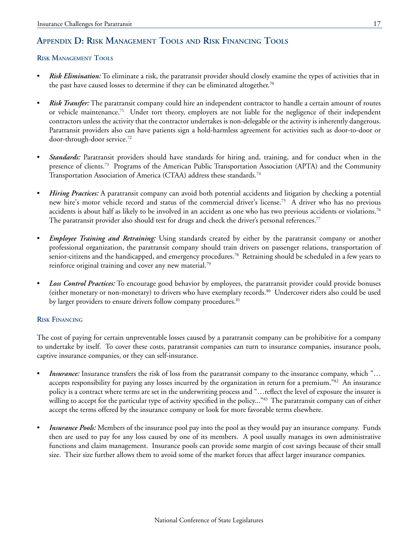## **Appendix D: Risk Management Tools and Risk Financing Tools**

### **Risk Management Tools**

- *Risk Elimination:* To eliminate a risk, the paratransit provider should closely examine the types of activities that in the past have caused losses to determine if they can be eliminated altogether.<sup>70</sup>
- *Risk Transfer:* The paratransit company could hire an independent contractor to handle a certain amount of routes or vehicle maintenance.<sup>71</sup> Under tort theory, employers are not liable for the negligence of their independent contractors unless the activity that the contractor undertakes is non-delegable or the activity is inherently dangerous. Paratransit providers also can have patients sign a hold-harmless agreement for activities such as door-to-door or door-through-door service.72
- Standards: Paratransit providers should have standards for hiring and, training, and for conduct when in the presence of clients.73 Programs of the American Public Transportation Association (APTA) and the Community Transportation Association of America (CTAA) address these standards.<sup>74</sup>
- *Hiring Practices:* A paratransit company can avoid both potential accidents and litigation by checking a potential new hire's motor vehicle record and status of the commercial driver's license.75 A driver who has no previous accidents is about half as likely to be involved in an accident as one who has two previous accidents or violations.<sup>76</sup> The paratransit provider also should test for drugs and check the driver's personal references.<sup>77</sup>
- *Employee Training and Retraining:* Using standards created by either by the paratransit company or another professional organization, the paratransit company should train drivers on passenger relations, transportation of senior-citizens and the handicapped, and emergency procedures.<sup>78</sup> Retraining should be scheduled in a few years to reinforce original training and cover any new material.79
- **Loss Control Practices:** To encourage good behavior by employees, the paratransit provider could provide bonuses (either monetary or non-monetary) to drivers who have exemplary records.80 Undercover riders also could be used by larger providers to ensure drivers follow company procedures.<sup>81</sup>

### **Risk Financing**

The cost of paying for certain unpreventable losses caused by a paratransit company can be prohibitive for a company to undertake by itself. To cover these costs, paratransit companies can turn to insurance companies, insurance pools, captive insurance companies, or they can self-insurance.

- *Insurance:* Insurance transfers the risk of loss from the paratransit company to the insurance company, which "... accepts responsibility for paying any losses incurred by the organization in return for a premium."<sup>82</sup> An insurance policy is a contract where terms are set in the underwriting process and "…reflect the level of exposure the insurer is willing to accept for the particular type of activity specified in the policy..."<sup>83</sup> The paratransit company can of either accept the terms offered by the insurance company or look for more favorable terms elsewhere.
- Insurance Pools: Members of the insurance pool pay into the pool as they would pay an insurance company. Funds then are used to pay for any loss caused by one of its members. A pool usually manages its own administrative functions and claim management. Insurance pools can provide some margin of cost savings because of their small size. Their size further allows them to avoid some of the market forces that affect larger insurance companies.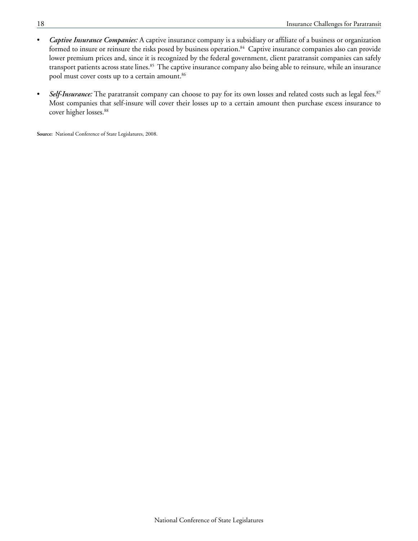- • *Captive Insurance Companies:* A captive insurance company is a subsidiary or affiliate of a business or organization formed to insure or reinsure the risks posed by business operation.<sup>84</sup> Captive insurance companies also can provide lower premium prices and, since it is recognized by the federal government, client paratransit companies can safely transport patients across state lines.<sup>85</sup> The captive insurance company also being able to reinsure, while an insurance pool must cover costs up to a certain amount.<sup>86</sup>
- Self-Insurance: The paratransit company can choose to pay for its own losses and related costs such as legal fees.<sup>87</sup> Most companies that self-insure will cover their losses up to a certain amount then purchase excess insurance to cover higher losses.<sup>88</sup>

**Source:** National Conference of State Legislatures, 2008.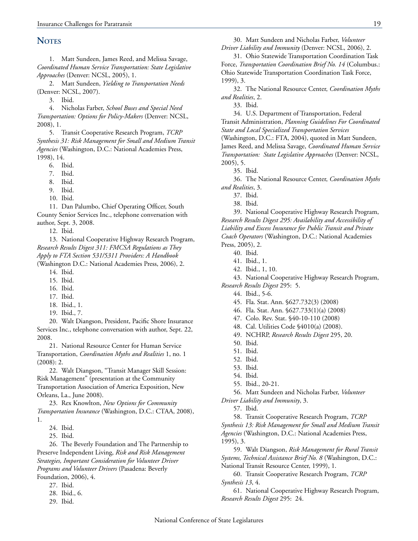### NOTES

1. Matt Sundeen, James Reed, and Melissa Savage, *Coordinated Human Service Transportation: State Legislative Approaches* (Denver: NCSL, 2005), 1.

2. Matt Sundeen, *Yielding to Transportation Needs*  (Denver: NCSL, 2007).

3. Ibid.

4. Nicholas Farber, *School Buses and Special Need Transportation: Options for Policy-Makers* (Denver: NCSL, 2008), 1.

5. Transit Cooperative Research Program, *TCRP Synthesis 31: Risk Management for Small and Medium Transit Agencies* (Washington, D.C.: National Academies Press, 1998), 14.

- 6. Ibid.
- 7. Ibid.
- 8. Ibid.
- 9. Ibid.
- 10. Ibid.

11. Dan Palumbo, Chief Operating Officer, South County Senior Services Inc., telephone conversation with author, Sept. 3, 2008.

12. Ibid.

13. National Cooperative Highway Research Program, *Research Results Digest 311: FMCSA Regulations as They Apply to FTA Section 531/5311 Providers: A Handbook* (Washington D.C.: National Academies Press, 2006), 2.

- 14. Ibid.
- 15. Ibid.
- 16. Ibid.
- 17. Ibid.
- 18. Ibid., 1.
- 19. Ibid., 7.

20. Walt Diangson, President, Pacific Shore Insurance Services Inc., telephone conversation with author, Sept. 22, 2008.

21. National Resource Center for Human Service Transportation, *Coordination Myths and Realities* 1, no. 1 (2008): 2.

22. Walt Diangson, "Transit Manager Skill Session: Risk Management" (presentation at the Community Transportation Association of America Exposition, New Orleans, La., June 2008).

23. Rex Knowlton, *New Options for Community Transportation Insurance* (Washington, D.C.: CTAA, 2008), 1.

25. Ibid.

26. The Beverly Foundation and The Partnership to Preserve Independent Living, *Risk and Risk Management Strategies, Important Consideration for Volunteer Driver Programs and Volunteer Drivers* (Pasadena: Beverly Foundation, 2006), 4.

27. Ibid.

29. Ibid.

31. Ohio Statewide Transportation Coordination Task Force, *Transportation Coordination Brief No. 14* (Columbus.: Ohio Statewide Transportation Coordination Task Force, 1999), 3.

32. The National Resource Center, *Coordination Myths and Realities*, 2.

33. Ibid.

34. U.S. Department of Transportation, Federal

Transit Administration, *Planning Guidelines For Coordinated State and Local Specialized Transportation Services* 

(Washington, D.C.: FTA, 2004), quoted in Matt Sundeen, James Reed, and Melissa Savage, *Coordinated Human Service Transportation: State Legislative Approaches* (Denver: NCSL, 2005), 5.

35. Ibid.

36. The National Resource Center, *Coordination Myths and Realities*, 3.

37. Ibid.

38. Ibid.

39. National Cooperative Highway Research Program, *Research Results Digest 295: Availability and Accessibility of Liability and Excess Insurance for Public Transit and Private Coach Operators* (Washington, D.C.: National Academies Press, 2005), 2.

40. Ibid.

- 41. Ibid., 1.
- 42. Ibid., 1, 10.
- 43. National Cooperative Highway Research Program, *Research Results Digest* 295: 5.
	- 44. Ibid., 5-6.
	- 45. Fla. Stat. Ann. §627.732(3) (2008)
	- 46. Fla. Stat. Ann. §627.733(1)(a) (2008)
	- 47. Colo. Rev. Stat. §40-10-110 (2008)
	- 48. Cal. Utilities Code §4010(a) (2008).
	- 49. NCHRP, *Research Results Digest* 295, 20.
	- 50. Ibid.
	- 51. Ibid.
	- 52. Ibid.
	- 53. Ibid.
	- 54. Ibid.
	- 55. Ibid., 20-21.
	- 56. Matt Sundeen and Nicholas Farber, *Volunteer*
- *Driver Liability and Immunity*, 3.
	- 57. Ibid.

58. Transit Cooperative Research Program, *TCRP Synthesis 13: Risk Management for Small and Medium Transit Agencies* (Washington, D.C.: National Academies Press, 1995), 3.

59. Walt Diangson, *Risk Management for Rural Transit Systems, Technical Assistance Brief No. 8* (Washington, D.C.: National Transit Resource Center, 1999), 1.

60. Transit Cooperative Research Program, *TCRP Synthesis 13*, 4.

61. National Cooperative Highway Research Program, *Research Results Digest* 295: 24.

<sup>24.</sup> Ibid.

<sup>28.</sup> Ibid., 6.